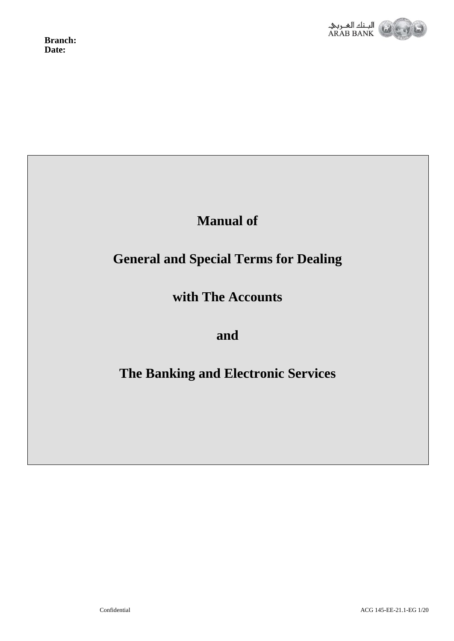



## **Manual of**

# **General and Special Terms for Dealing**

# **with The Accounts**

## **and**

# **The Banking and Electronic Services**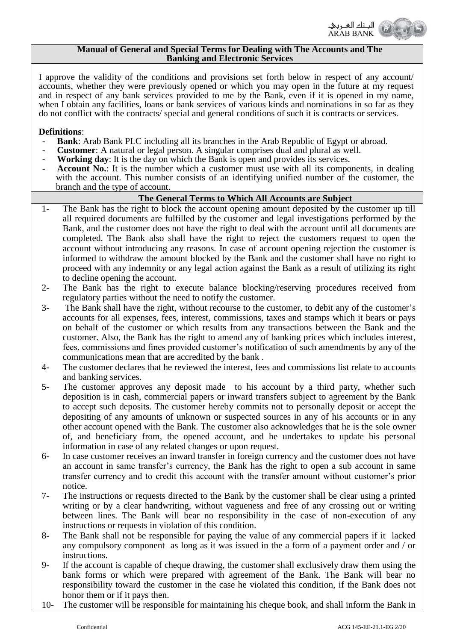

#### **Manual of General and Special Terms for Dealing with The Accounts and The Banking and Electronic Services**

I approve the validity of the conditions and provisions set forth below in respect of any account/ accounts, whether they were previously opened or which you may open in the future at my request and in respect of any bank services provided to me by the Bank, even if it is opened in my name, when I obtain any facilities, loans or bank services of various kinds and nominations in so far as they do not conflict with the contracts/ special and general conditions of such it is contracts or services.

#### **Definitions**:

- **Bank**: Arab Bank PLC including all its branches in the Arab Republic of Egypt or abroad.
- **Customer:** A natural or legal person. A singular comprises dual and plural as well.
- - **Working day**: It is the day on which the Bank is open and provides its services.
- **Account No.:** It is the number which a customer must use with all its components, in dealing with the account. This number consists of an identifying unified number of the customer, the branch and the type of account.

## **The General Terms to Which All Accounts are Subject**

- 1- The Bank has the right to block the account opening amount deposited by the customer up till all required documents are fulfilled by the customer and legal investigations performed by the Bank, and the customer does not have the right to deal with the account until all documents are completed. The Bank also shall have the right to reject the customers request to open the account without introducing any reasons. In case of account opening rejection the customer is informed to withdraw the amount blocked by the Bank and the customer shall have no right to proceed with any indemnity or any legal action against the Bank as a result of utilizing its right to decline opening the account.
- 2- The Bank has the right to execute balance blocking/reserving procedures received from regulatory parties without the need to notify the customer.
- 3- The Bank shall have the right, without recourse to the customer, to debit any of the customer's accounts for all expenses, fees, interest, commissions, taxes and stamps which it bears or pays on behalf of the customer or which results from any transactions between the Bank and the customer. Also, the Bank has the right to amend any of banking prices which includes interest, fees, commissions and fines provided customer's notification of such amendments by any of the communications mean that are accredited by the bank .
- 4- The customer declares that he reviewed the interest, fees and commissions list relate to accounts and banking services.
- 5- The customer approves any deposit made to his account by a third party, whether such deposition is in cash, commercial papers or inward transfers subject to agreement by the Bank to accept such deposits. The customer hereby commits not to personally deposit or accept the depositing of any amounts of unknown or suspected sources in any of his accounts or in any other account opened with the Bank. The customer also acknowledges that he is the sole owner of, and beneficiary from, the opened account, and he undertakes to update his personal information in case of any related changes or upon request.
- 6- In case customer receives an inward transfer in foreign currency and the customer does not have an account in same transfer's currency, the Bank has the right to open a sub account in same transfer currency and to credit this account with the transfer amount without customer's prior notice.
- 7- The instructions or requests directed to the Bank by the customer shall be clear using a printed writing or by a clear handwriting, without vagueness and free of any crossing out or writing between lines. The Bank will bear no responsibility in the case of non-execution of any instructions or requests in violation of this condition.
- 8- The Bank shall not be responsible for paying the value of any commercial papers if it lacked any compulsory component as long as it was issued in the a form of a payment order and / or instructions.
- 9- If the account is capable of cheque drawing, the customer shall exclusively draw them using the bank forms or which were prepared with agreement of the Bank. The Bank will bear no responsibility toward the customer in the case he violated this condition, if the Bank does not honor them or if it pays then.
- 10- The customer will be responsible for maintaining his cheque book, and shall inform the Bank in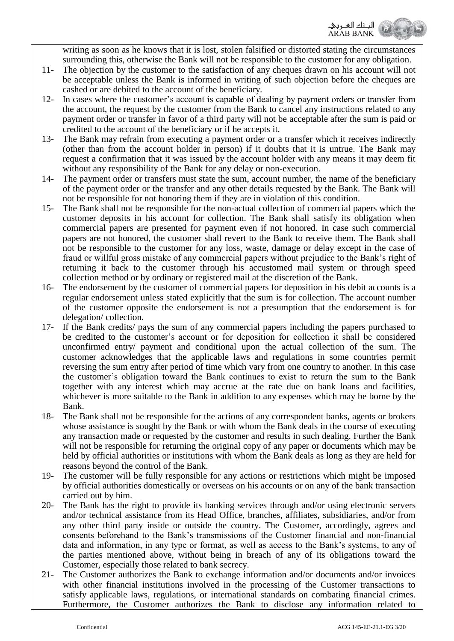

writing as soon as he knows that it is lost, stolen falsified or distorted stating the circumstances surrounding this, otherwise the Bank will not be responsible to the customer for any obligation.

- 11- The objection by the customer to the satisfaction of any cheques drawn on his account will not be acceptable unless the Bank is informed in writing of such objection before the cheques are cashed or are debited to the account of the beneficiary.
- 12- In cases where the customer's account is capable of dealing by payment orders or transfer from the account, the request by the customer from the Bank to cancel any instructions related to any payment order or transfer in favor of a third party will not be acceptable after the sum is paid or credited to the account of the beneficiary or if he accepts it.
- 13- The Bank may refrain from executing a payment order or a transfer which it receives indirectly (other than from the account holder in person) if it doubts that it is untrue. The Bank may request a confirmation that it was issued by the account holder with any means it may deem fit without any responsibility of the Bank for any delay or non-execution.
- 14- The payment order or transfers must state the sum, account number, the name of the beneficiary of the payment order or the transfer and any other details requested by the Bank. The Bank will not be responsible for not honoring them if they are in violation of this condition.
- 15- The Bank shall not be responsible for the non-actual collection of commercial papers which the customer deposits in his account for collection. The Bank shall satisfy its obligation when commercial papers are presented for payment even if not honored. In case such commercial papers are not honored, the customer shall revert to the Bank to receive them. The Bank shall not be responsible to the customer for any loss, waste, damage or delay except in the case of fraud or willful gross mistake of any commercial papers without prejudice to the Bank's right of returning it back to the customer through his accustomed mail system or through speed collection method or by ordinary or registered mail at the discretion of the Bank.
- 16- The endorsement by the customer of commercial papers for deposition in his debit accounts is a regular endorsement unless stated explicitly that the sum is for collection. The account number of the customer opposite the endorsement is not a presumption that the endorsement is for delegation/ collection.
- 17- If the Bank credits/ pays the sum of any commercial papers including the papers purchased to be credited to the customer's account or for deposition for collection it shall be considered unconfirmed entry/ payment and conditional upon the actual collection of the sum. The customer acknowledges that the applicable laws and regulations in some countries permit reversing the sum entry after period of time which vary from one country to another. In this case the customer's obligation toward the Bank continues to exist to return the sum to the Bank together with any interest which may accrue at the rate due on bank loans and facilities, whichever is more suitable to the Bank in addition to any expenses which may be borne by the Bank.
- 18- The Bank shall not be responsible for the actions of any correspondent banks, agents or brokers whose assistance is sought by the Bank or with whom the Bank deals in the course of executing any transaction made or requested by the customer and results in such dealing. Further the Bank will not be responsible for returning the original copy of any paper or documents which may be held by official authorities or institutions with whom the Bank deals as long as they are held for reasons beyond the control of the Bank.
- 19- The customer will be fully responsible for any actions or restrictions which might be imposed by official authorities domestically or overseas on his accounts or on any of the bank transaction carried out by him.
- 20- The Bank has the right to provide its banking services through and/or using electronic servers and/or technical assistance from its Head Office, branches, affiliates, subsidiaries, and/or from any other third party inside or outside the country. The Customer, accordingly, agrees and consents beforehand to the Bank's transmissions of the Customer financial and non-financial data and information, in any type or format, as well as access to the Bank's systems, to any of the parties mentioned above, without being in breach of any of its obligations toward the Customer, especially those related to bank secrecy.
- 21- The Customer authorizes the Bank to exchange information and/or documents and/or invoices with other financial institutions involved in the processing of the Customer transactions to satisfy applicable laws, regulations, or international standards on combating financial crimes. Furthermore, the Customer authorizes the Bank to disclose any information related to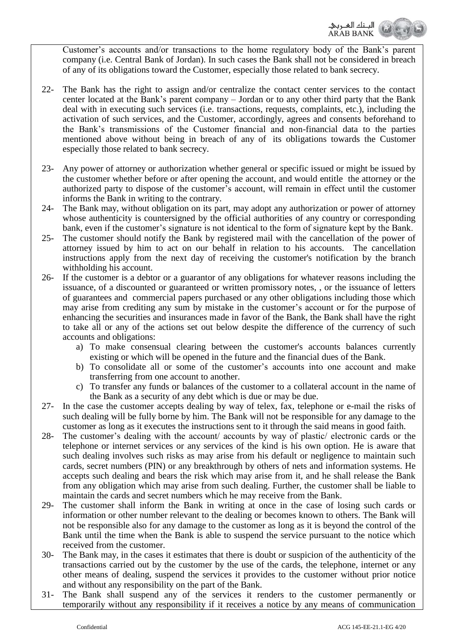

Customer's accounts and/or transactions to the home regulatory body of the Bank's parent company (i.e. Central Bank of Jordan). In such cases the Bank shall not be considered in breach of any of its obligations toward the Customer, especially those related to bank secrecy.

- 22- The Bank has the right to assign and/or centralize the contact center services to the contact center located at the Bank's parent company – Jordan or to any other third party that the Bank deal with in executing such services (i.e. transactions, requests, complaints, etc.), including the activation of such services, and the Customer, accordingly, agrees and consents beforehand to the Bank's transmissions of the Customer financial and non-financial data to the parties mentioned above without being in breach of any of its obligations towards the Customer especially those related to bank secrecy.
- 23- Any power of attorney or authorization whether general or specific issued or might be issued by the customer whether before or after opening the account, and would entitle the attorney or the authorized party to dispose of the customer's account, will remain in effect until the customer informs the Bank in writing to the contrary.
- 24- The Bank may, without obligation on its part, may adopt any authorization or power of attorney whose authenticity is countersigned by the official authorities of any country or corresponding bank, even if the customer's signature is not identical to the form of signature kept by the Bank.
- 25- The customer should notify the Bank by registered mail with the cancellation of the power of attorney issued by him to act on our behalf in relation to his accounts. The cancellation instructions apply from the next day of receiving the customer's notification by the branch withholding his account.
- 26- If the customer is a debtor or a guarantor of any obligations for whatever reasons including the issuance, of a discounted or guaranteed or written promissory notes, , or the issuance of letters of guarantees and commercial papers purchased or any other obligations including those which may arise from crediting any sum by mistake in the customer's account or for the purpose of enhancing the securities and insurances made in favor of the Bank, the Bank shall have the right to take all or any of the actions set out below despite the difference of the currency of such accounts and obligations:
	- a) To make consensual clearing between the customer's accounts balances currently existing or which will be opened in the future and the financial dues of the Bank.
	- b) To consolidate all or some of the customer's accounts into one account and make transferring from one account to another.
	- c) To transfer any funds or balances of the customer to a collateral account in the name of the Bank as a security of any debt which is due or may be due.
- 27- In the case the customer accepts dealing by way of telex, fax, telephone or e-mail the risks of such dealing will be fully borne by him. The Bank will not be responsible for any damage to the customer as long as it executes the instructions sent to it through the said means in good faith.
- 28- The customer's dealing with the account/ accounts by way of plastic/ electronic cards or the telephone or internet services or any services of the kind is his own option. He is aware that such dealing involves such risks as may arise from his default or negligence to maintain such cards, secret numbers (PIN) or any breakthrough by others of nets and information systems. He accepts such dealing and bears the risk which may arise from it, and he shall release the Bank from any obligation which may arise from such dealing. Further, the customer shall be liable to maintain the cards and secret numbers which he may receive from the Bank.
- 29- The customer shall inform the Bank in writing at once in the case of losing such cards or information or other number relevant to the dealing or becomes known to others. The Bank will not be responsible also for any damage to the customer as long as it is beyond the control of the Bank until the time when the Bank is able to suspend the service pursuant to the notice which received from the customer.
- 30- The Bank may, in the cases it estimates that there is doubt or suspicion of the authenticity of the transactions carried out by the customer by the use of the cards, the telephone, internet or any other means of dealing, suspend the services it provides to the customer without prior notice and without any responsibility on the part of the Bank.
- 31- The Bank shall suspend any of the services it renders to the customer permanently or temporarily without any responsibility if it receives a notice by any means of communication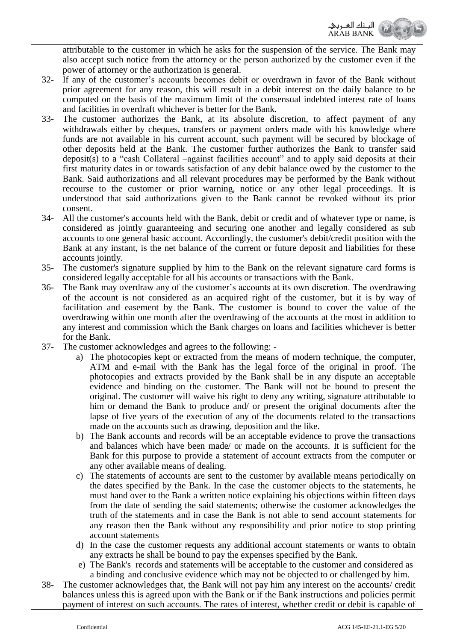الصنك الم

attributable to the customer in which he asks for the suspension of the service. The Bank may also accept such notice from the attorney or the person authorized by the customer even if the power of attorney or the authorization is general.

- 32- If any of the customer's accounts becomes debit or overdrawn in favor of the Bank without prior agreement for any reason, this will result in a debit interest on the daily balance to be computed on the basis of the maximum limit of the consensual indebted interest rate of loans and facilities in overdraft whichever is better for the Bank.
- 33- The customer authorizes the Bank, at its absolute discretion, to affect payment of any withdrawals either by cheques, transfers or payment orders made with his knowledge where funds are not available in his current account, such payment will be secured by blockage of other deposits held at the Bank. The customer further authorizes the Bank to transfer said deposit(s) to a "cash Collateral –against facilities account" and to apply said deposits at their first maturity dates in or towards satisfaction of any debit balance owed by the customer to the Bank. Said authorizations and all relevant procedures may be performed by the Bank without recourse to the customer or prior warning, notice or any other legal proceedings. It is understood that said authorizations given to the Bank cannot be revoked without its prior consent.
- 34- All the customer's accounts held with the Bank, debit or credit and of whatever type or name, is considered as jointly guaranteeing and securing one another and legally considered as sub accounts to one general basic account. Accordingly, the customer's debit/credit position with the Bank at any instant, is the net balance of the current or future deposit and liabilities for these accounts jointly.
- 35- The customer's signature supplied by him to the Bank on the relevant signature card forms is considered legally acceptable for all his accounts or transactions with the Bank.
- 36- The Bank may overdraw any of the customer's accounts at its own discretion. The overdrawing of the account is not considered as an acquired right of the customer, but it is by way of facilitation and easement by the Bank. The customer is bound to cover the value of the overdrawing within one month after the overdrawing of the accounts at the most in addition to any interest and commission which the Bank charges on loans and facilities whichever is better for the Bank.
- 37- The customer acknowledges and agrees to the following:
	- a) The photocopies kept or extracted from the means of modern technique, the computer, ATM and e-mail with the Bank has the legal force of the original in proof. The photocopies and extracts provided by the Bank shall be in any dispute an acceptable evidence and binding on the customer. The Bank will not be bound to present the original. The customer will waive his right to deny any writing, signature attributable to him or demand the Bank to produce and/ or present the original documents after the lapse of five years of the execution of any of the documents related to the transactions made on the accounts such as drawing, deposition and the like.
	- b) The Bank accounts and records will be an acceptable evidence to prove the transactions and balances which have been made/ or made on the accounts. It is sufficient for the Bank for this purpose to provide a statement of account extracts from the computer or any other available means of dealing.
	- c) The statements of accounts are sent to the customer by available means periodically on the dates specified by the Bank. In the case the customer objects to the statements, he must hand over to the Bank a written notice explaining his objections within fifteen days from the date of sending the said statements; otherwise the customer acknowledges the truth of the statements and in case the Bank is not able to send account statements for any reason then the Bank without any responsibility and prior notice to stop printing account statements
	- d) In the case the customer requests any additional account statements or wants to obtain any extracts he shall be bound to pay the expenses specified by the Bank.
	- e) The Bank's records and statements will be acceptable to the customer and considered as a binding and conclusive evidence which may not be objected to or challenged by him.
- 38- The customer acknowledges that, the Bank will not pay him any interest on the accounts/ credit balances unless this is agreed upon with the Bank or if the Bank instructions and policies permit payment of interest on such accounts. The rates of interest, whether credit or debit is capable of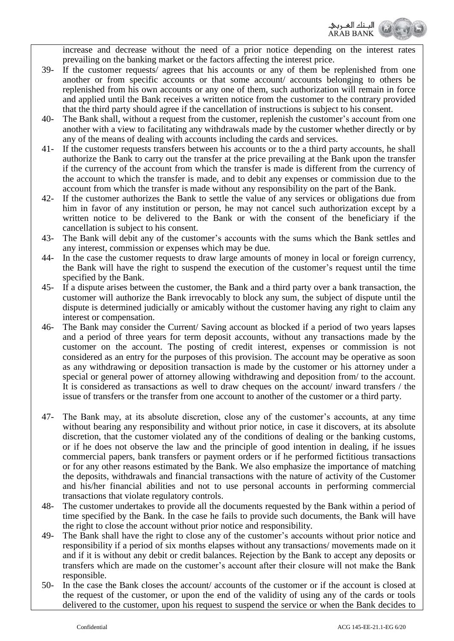

increase and decrease without the need of a prior notice depending on the interest rates prevailing on the banking market or the factors affecting the interest price.

- 39- If the customer requests/ agrees that his accounts or any of them be replenished from one another or from specific accounts or that some account/ accounts belonging to others be replenished from his own accounts or any one of them, such authorization will remain in force and applied until the Bank receives a written notice from the customer to the contrary provided that the third party should agree if the cancellation of instructions is subject to his consent.
- 40- The Bank shall, without a request from the customer, replenish the customer's account from one another with a view to facilitating any withdrawals made by the customer whether directly or by any of the means of dealing with accounts including the cards and services.
- 41- If the customer requests transfers between his accounts or to the a third party accounts, he shall authorize the Bank to carry out the transfer at the price prevailing at the Bank upon the transfer if the currency of the account from which the transfer is made is different from the currency of the account to which the transfer is made, and to debit any expenses or commission due to the account from which the transfer is made without any responsibility on the part of the Bank.
- 42- If the customer authorizes the Bank to settle the value of any services or obligations due from him in favor of any institution or person, he may not cancel such authorization except by a written notice to be delivered to the Bank or with the consent of the beneficiary if the cancellation is subject to his consent.
- 43- The Bank will debit any of the customer's accounts with the sums which the Bank settles and any interest, commission or expenses which may be due.
- 44- In the case the customer requests to draw large amounts of money in local or foreign currency, the Bank will have the right to suspend the execution of the customer's request until the time specified by the Bank.
- 45- If a dispute arises between the customer, the Bank and a third party over a bank transaction, the customer will authorize the Bank irrevocably to block any sum, the subject of dispute until the dispute is determined judicially or amicably without the customer having any right to claim any interest or compensation.
- 46- The Bank may consider the Current/ Saving account as blocked if a period of two years lapses and a period of three years for term deposit accounts, without any transactions made by the customer on the account. The posting of credit interest, expenses or commission is not considered as an entry for the purposes of this provision. The account may be operative as soon as any withdrawing or deposition transaction is made by the customer or his attorney under a special or general power of attorney allowing withdrawing and deposition from/ to the account. It is considered as transactions as well to draw cheques on the account/ inward transfers / the issue of transfers or the transfer from one account to another of the customer or a third party.
- 47- The Bank may, at its absolute discretion, close any of the customer's accounts, at any time without bearing any responsibility and without prior notice, in case it discovers, at its absolute discretion, that the customer violated any of the conditions of dealing or the banking customs, or if he does not observe the law and the principle of good intention in dealing, if he issues commercial papers, bank transfers or payment orders or if he performed fictitious transactions or for any other reasons estimated by the Bank. We also emphasize the importance of matching the deposits, withdrawals and financial transactions with the nature of activity of the Customer and his/her financial abilities and not to use personal accounts in performing commercial transactions that violate regulatory controls.
- 48- The customer undertakes to provide all the documents requested by the Bank within a period of time specified by the Bank. In the case he fails to provide such documents, the Bank will have the right to close the account without prior notice and responsibility.
- 49- The Bank shall have the right to close any of the customer's accounts without prior notice and responsibility if a period of six months elapses without any transactions/ movements made on it and if it is without any debit or credit balances. Rejection by the Bank to accept any deposits or transfers which are made on the customer's account after their closure will not make the Bank responsible.
- 50- In the case the Bank closes the account/ accounts of the customer or if the account is closed at the request of the customer, or upon the end of the validity of using any of the cards or tools delivered to the customer, upon his request to suspend the service or when the Bank decides to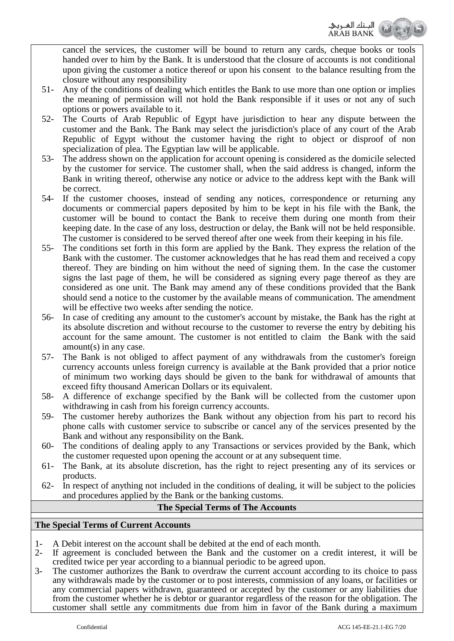

cancel the services, the customer will be bound to return any cards, cheque books or tools handed over to him by the Bank. It is understood that the closure of accounts is not conditional upon giving the customer a notice thereof or upon his consent to the balance resulting from the closure without any responsibility

- 51- Any of the conditions of dealing which entitles the Bank to use more than one option or implies the meaning of permission will not hold the Bank responsible if it uses or not any of such options or powers available to it.
- 52- The Courts of Arab Republic of Egypt have jurisdiction to hear any dispute between the customer and the Bank. The Bank may select the jurisdiction's place of any court of the Arab Republic of Egypt without the customer having the right to object or disproof of non specialization of plea. The Egyptian law will be applicable.
- 53- The address shown on the application for account opening is considered as the domicile selected by the customer for service. The customer shall, when the said address is changed, inform the Bank in writing thereof, otherwise any notice or advice to the address kept with the Bank will be correct.
- 54- If the customer chooses, instead of sending any notices, correspondence or returning any documents or commercial papers deposited by him to be kept in his file with the Bank, the customer will be bound to contact the Bank to receive them during one month from their keeping date. In the case of any loss, destruction or delay, the Bank will not be held responsible. The customer is considered to be served thereof after one week from their keeping in his file.
- 55- The conditions set forth in this form are applied by the Bank. They express the relation of the Bank with the customer. The customer acknowledges that he has read them and received a copy thereof. They are binding on him without the need of signing them. In the case the customer signs the last page of them, he will be considered as signing every page thereof as they are considered as one unit. The Bank may amend any of these conditions provided that the Bank should send a notice to the customer by the available means of communication. The amendment will be effective two weeks after sending the notice.
- 56- In case of crediting any amount to the customer's account by mistake, the Bank has the right at its absolute discretion and without recourse to the customer to reverse the entry by debiting his account for the same amount. The customer is not entitled to claim the Bank with the said amount(s) in any case.
- 57- The Bank is not obliged to affect payment of any withdrawals from the customer's foreign currency accounts unless foreign currency is available at the Bank provided that a prior notice of minimum two working days should be given to the bank for withdrawal of amounts that exceed fifty thousand American Dollars or its equivalent.
- 58- A difference of exchange specified by the Bank will be collected from the customer upon withdrawing in cash from his foreign currency accounts.
- 59- The customer hereby authorizes the Bank without any objection from his part to record his phone calls with customer service to subscribe or cancel any of the services presented by the Bank and without any responsibility on the Bank.
- 60- The conditions of dealing apply to any Transactions or services provided by the Bank, which the customer requested upon opening the account or at any subsequent time.
- 61- The Bank, at its absolute discretion, has the right to reject presenting any of its services or products.
- 62- In respect of anything not included in the conditions of dealing, it will be subject to the policies and procedures applied by the Bank or the banking customs.

## **The Special Terms of The Accounts**

## **The Special Terms of Current Accounts**

- 1- A Debit interest on the account shall be debited at the end of each month.
- 2- If agreement is concluded between the Bank and the customer on a credit interest, it will be credited twice per year according to a biannual periodic to be agreed upon.
- 3- The customer authorizes the Bank to overdraw the current account according to its choice to pass any withdrawals made by the customer or to post interests, commission of any loans, or facilities or any commercial papers withdrawn, guaranteed or accepted by the customer or any liabilities due from the customer whether he is debtor or guarantor regardless of the reason for the obligation. The customer shall settle any commitments due from him in favor of the Bank during a maximum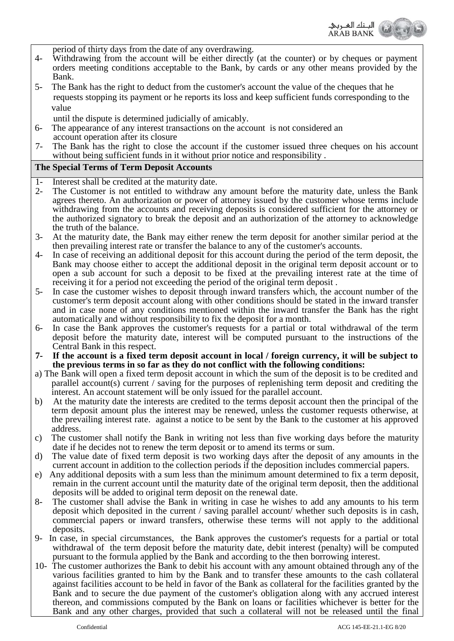

- 4- Withdrawing from the account will be either directly (at the counter) or by cheques or payment orders meeting conditions acceptable to the Bank, by cards or any other means provided by the Bank.
- 5- The Bank has the right to deduct from the customer's account the value of the cheques that he requests stopping its payment or he reports its loss and keep sufficient funds corresponding to the value
- until the dispute is determined judicially of amicably.
- 6- The appearance of any interest transactions on the account is not considered an
- account operation after its closure<br>7- The Bank has the right to close t The Bank has the right to close the account if the customer issued three cheques on his account without being sufficient funds in it without prior notice and responsibility .

## **The Special Terms of Term Deposit Accounts**

- 1- Interest shall be credited at the maturity date.
- 2- The Customer is not entitled to withdraw any amount before the maturity date, unless the Bank agrees thereto. An authorization or power of attorney issued by the customer whose terms include withdrawing from the accounts and receiving deposits is considered sufficient for the attorney or the authorized signatory to break the deposit and an authorization of the attorney to acknowledge the truth of the balance.
- 3- At the maturity date, the Bank may either renew the term deposit for another similar period at the then prevailing interest rate or transfer the balance to any of the customer's accounts.
- 4- In case of receiving an additional deposit for this account during the period of the term deposit, the Bank may choose either to accept the additional deposit in the original term deposit account or to open a sub account for such a deposit to be fixed at the prevailing interest rate at the time of receiving it for a period not exceeding the period of the original term deposit .
- 5- In case the customer wishes to deposit through inward transfers which, the account number of the customer's term deposit account along with other conditions should be stated in the inward transfer and in case none of any conditions mentioned within the inward transfer the Bank has the right automatically and without responsibility to fix the deposit for a month.
- 6- In case the Bank approves the customer's requests for a partial or total withdrawal of the term deposit before the maturity date, interest will be computed pursuant to the instructions of the Central Bank in this respect.
- **7- If the account is a fixed term deposit account in local / foreign currency, it will be subject to the previous terms in so far as they do not conflict with the following conditions:**
- a) The Bank will open a fixed term deposit account in which the sum of the deposit is to be credited and parallel account(s) current / saving for the purposes of replenishing term deposit and crediting the interest. An account statement will be only issued for the parallel account.
- b) At the maturity date the interests are credited to the terms deposit account then the principal of the term deposit amount plus the interest may be renewed, unless the customer requests otherwise, at the prevailing interest rate. against a notice to be sent by the Bank to the customer at his approved address.
- c) The customer shall notify the Bank in writing not less than five working days before the maturity date if he decides not to renew the term deposit or to amend its terms or sum.
- d) The value date of fixed term deposit is two working days after the deposit of any amounts in the current account in addition to the collection periods if the deposition includes commercial papers.
- e) Any additional deposits with a sum less than the minimum amount determined to fix a term deposit, remain in the current account until the maturity date of the original term deposit, then the additional deposits will be added to original term deposit on the renewal date.
- 8- The customer shall advise the Bank in writing in case he wishes to add any amounts to his term deposit which deposited in the current / saving parallel account/ whether such deposits is in cash, commercial papers or inward transfers, otherwise these terms will not apply to the additional deposits.
- 9- In case, in special circumstances, the Bank approves the customer's requests for a partial or total withdrawal of the term deposit before the maturity date, debit interest (penalty) will be computed pursuant to the formula applied by the Bank and according to the then borrowing interest.
- 10- The customer authorizes the Bank to debit his account with any amount obtained through any of the various facilities granted to him by the Bank and to transfer these amounts to the cash collateral against facilities account to be held in favor of the Bank as collateral for the facilities granted by the Bank and to secure the due payment of the customer's obligation along with any accrued interest thereon, and commissions computed by the Bank on loans or facilities whichever is better for the Bank and any other charges, provided that such a collateral will not be released until the final

الصنك الم **ARAB BANK**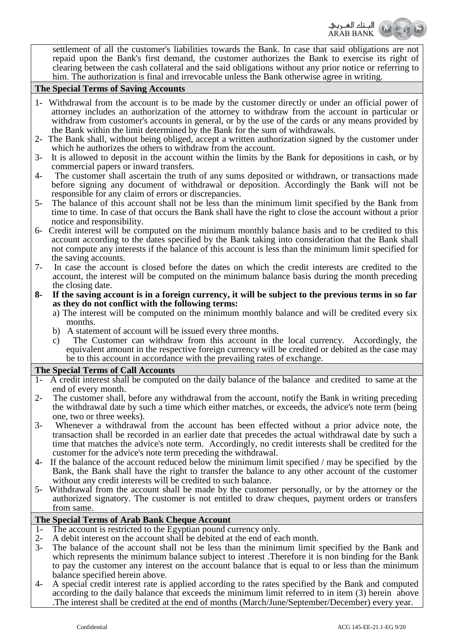

settlement of all the customer's liabilities towards the Bank. In case that said obligations are not repaid upon the Bank's first demand, the customer authorizes the Bank to exercise its right of clearing between the cash collateral and the said obligations without any prior notice or referring to him. The authorization is final and irrevocable unless the Bank otherwise agree in writing.

#### **The Special Terms of Saving Accounts**

- 1- Withdrawal from the account is to be made by the customer directly or under an official power of attorney includes an authorization of the attorney to withdraw from the account in particular or withdraw from customer's accounts in general, or by the use of the cards or any means provided by the Bank within the limit determined by the Bank for the sum of withdrawals.
- 2- The Bank shall, without being obliged, accept a written authorization signed by the customer under which he authorizes the others to withdraw from the account.
- 3- It is allowed to deposit in the account within the limits by the Bank for depositions in cash, or by commercial papers or inward transfers.
- 4- The customer shall ascertain the truth of any sums deposited or withdrawn, or transactions made before signing any document of withdrawal or deposition. Accordingly the Bank will not be responsible for any claim of errors or discrepancies.
- 5- The balance of this account shall not be less than the minimum limit specified by the Bank from time to time. In case of that occurs the Bank shall have the right to close the account without a prior notice and responsibility.
- 6- Credit interest will be computed on the minimum monthly balance basis and to be credited to this account according to the dates specified by the Bank taking into consideration that the Bank shall not compute any interests if the balance of this account is less than the minimum limit specified for the saving accounts.
- 7- In case the account is closed before the dates on which the credit interests are credited to the account, the interest will be computed on the minimum balance basis during the month preceding the closing date.
- **8- If the saving account is in a foreign currency, it will be subject to the previous terms in so far as they do not conflict with the following terms:**
	- a) The interest will be computed on the minimum monthly balance and will be credited every six months.
	- b) A statement of account will be issued every three months.
	- c) The Customer can withdraw from this account in the local currency. Accordingly, the equivalent amount in the respective foreign currency will be credited or debited as the case may be to this account in accordance with the prevailing rates of exchange.

#### **The Special Terms of Call Accounts**

- 1- A credit interest shall be computed on the daily balance of the balance and credited to same at the end of every month.
- 2- The customer shall, before any withdrawal from the account, notify the Bank in writing preceding the withdrawal date by such a time which either matches, or exceeds, the advice's note term (being one, two or three weeks).
- 3- Whenever a withdrawal from the account has been effected without a prior advice note, the transaction shall be recorded in an earlier date that precedes the actual withdrawal date by such a time that matches the advice's note term. Accordingly, no credit interests shall be credited for the customer for the advice's note term preceding the withdrawal.
- 4- If the balance of the account reduced below the minimum limit specified / may be specified by the Bank, the Bank shall have the right to transfer the balance to any other account of the customer without any credit interests will be credited to such balance.
- 5- Withdrawal from the account shall be made by the customer personally, or by the attorney or the authorized signatory. The customer is not entitled to draw cheques, payment orders or transfers from same.

## **The Special Terms of Arab Bank Cheque Account**

- 1- The account is restricted to the Egyptian pound currency only.
- 2- A debit interest on the account shall be debited at the end of each month.
- 3- The balance of the account shall not be less than the minimum limit specified by the Bank and which represents the minimum balance subject to interest .Therefore it is non binding for the Bank to pay the customer any interest on the account balance that is equal to or less than the minimum balance specified herein above.
- 4- A special credit interest rate is applied according to the rates specified by the Bank and computed according to the daily balance that exceeds the minimum limit referred to in item (3) herein above .The interest shall be credited at the end of months (March/June/September/December) every year.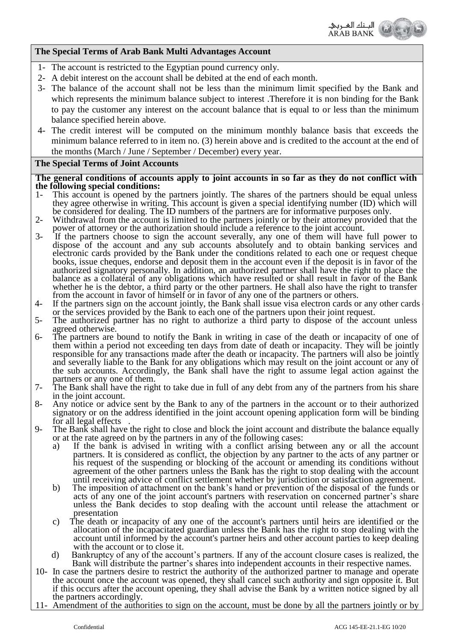

## **The Special Terms of Arab Bank Multi Advantages Account**

- 1- The account is restricted to the Egyptian pound currency only.
- 2- A debit interest on the account shall be debited at the end of each month.
- 3- The balance of the account shall not be less than the minimum limit specified by the Bank and which represents the minimum balance subject to interest .Therefore it is non binding for the Bank to pay the customer any interest on the account balance that is equal to or less than the minimum balance specified herein above.
- 4- The credit interest will be computed on the minimum monthly balance basis that exceeds the minimum balance referred to in item no. (3) herein above and is credited to the account at the end of the months (March / June / September / December) every year.

## **The Special Terms of Joint Accounts**

**The general conditions of accounts apply to joint accounts in so far as they do not conflict with the following special conditions:**

- This account is opened by the partners jointly. The shares of the partners should be equal unless they agree otherwise in writing. This account is given a special identifying number (ID) which will be considered for dealing. The ID numbers of the partners are for informative purposes only.
- 2- Withdrawal from the account is limited to the partners jointly or by their attorney provided that the power of attorney or the authorization should include a reference to the joint account.
- 3- If the partners choose to sign the account severally, any one of them will have full power to dispose of the account and any sub accounts absolutely and to obtain banking services and electronic cards provided by the Bank under the conditions related to each one or request cheque books, issue cheques, endorse and deposit them in the account even if the deposit is in favor of the authorized signatory personally. In addition, an authorized partner shall have the right to place the balance as a collateral of any obligations which have resulted or shall result in favor of the Bank whether he is the debtor, a third party or the other partners. He shall also have the right to transfer from the account in favor of himself or in favor of any one of the partners or others.
- 4- If the partners sign on the account jointly, the Bank shall issue visa electron cards or any other cards or any of or the services provided by the Bank to each one of the partners upon their joint request.
- 5- The authorized partner has no right to authorize a third party to dispose of the account unless agreed otherwise.
- 6- The partners are bound to notify the Bank in writing in case of the death or incapacity of one of them within a period not exceeding ten days from date of death or incapacity. They will be jointly responsible for any transactions made after the death or incapacity. The partners will also be jointly and severally liable to the Bank for any obligations which may result on the joint account or any of the sub accounts. Accordingly, the Bank shall have the right to assume legal action against the partners or any one of them.
- 7- The Bank shall have the right to take due in full of any debt from any of the partners from his share in the joint account.
- 8- Any notice or advice sent by the Bank to any of the partners in the account or to their authorized signatory or on the address identified in the joint account opening application form will be binding for all legal effects .
- 9- The Bank shall have the right to close and block the joint account and distribute the balance equally or at the rate agreed on by the partners in any of the following cases:
	- a) If the bank is advised in writing with a conflict arising between any or all the account partners. It is considered as conflict, the objection by any partner to the acts of any partner or his request of the suspending or blocking of the account or amending its conditions without agreement of the other partners unless the Bank has the right to stop dealing with the account until receiving advice of conflict settlement whether by jurisdiction or satisfaction agreement.
	- b) The imposition of attachment on the bank's hand or prevention of the disposal of the funds or acts of any one of the joint account's partners with reservation on concerned partner's share unless the Bank decides to stop dealing with the account until release the attachment or presentation
	- c) The death or incapacity of any one of the account's partners until heirs are identified or the allocation of the incapacitated guardian unless the Bank has the right to stop dealing with the account until informed by the account's partner heirs and other account parties to keep dealing with the account or to close it.
	- d) Bankruptcy of any of the account's partners. If any of the account closure cases is realized, the Bank will distribute the partner's shares into independent accounts in their respective names.
- 10- In case the partners desire to restrict the authority of the authorized partner to manage and operate the account once the account was opened, they shall cancel such authority and sign opposite it. But if this occurs after the account opening, they shall advise the Bank by a written notice signed by all the partners accordingly.
- 11- Amendment of the authorities to sign on the account, must be done by all the partners jointly or by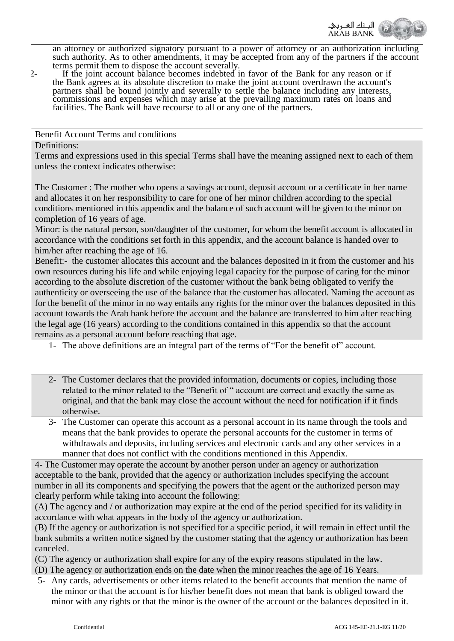

an attorney or authorized signatory pursuant to a power of attorney or an authorization including such authority. As to other amendments, it may be accepted from any of the partners if the account terms permit them to dispose the account severally.

12- If the joint account balance becomes indebted in favor of the Bank for any reason or if the Bank agrees at its absolute discretion to make the joint account overdrawn the account's partners shall be bound jointly and severally to settle the balance including any interests, commissions and expenses which may arise at the prevailing maximum rates on loans and facilities. The Bank will have recourse to all or any one of the partners.

Benefit Account Terms and conditions

## Definitions:

Terms and expressions used in this special Terms shall have the meaning assigned next to each of them unless the context indicates otherwise:

The Customer : The mother who opens a savings account, deposit account or a certificate in her name and allocates it on her responsibility to care for one of her minor children according to the special conditions mentioned in this appendix and the balance of such account will be given to the minor on completion of 16 years of age.

Minor: is the natural person, son/daughter of the customer, for whom the benefit account is allocated in accordance with the conditions set forth in this appendix, and the account balance is handed over to him/her after reaching the age of 16.

Benefit:- the customer allocates this account and the balances deposited in it from the customer and his own resources during his life and while enjoying legal capacity for the purpose of caring for the minor according to the absolute discretion of the customer without the bank being obligated to verify the authenticity or overseeing the use of the balance that the customer has allocated. Naming the account as for the benefit of the minor in no way entails any rights for the minor over the balances deposited in this account towards the Arab bank before the account and the balance are transferred to him after reaching the legal age (16 years) according to the conditions contained in this appendix so that the account remains as a personal account before reaching that age.

- 1- The above definitions are an integral part of the terms of "For the benefit of" account.
- 2- The Customer declares that the provided information, documents or copies, including those related to the minor related to the "Benefit of " account are correct and exactly the same as original, and that the bank may close the account without the need for notification if it finds otherwise.
- 3- The Customer can operate this account as a personal account in its name through the tools and means that the bank provides to operate the personal accounts for the customer in terms of withdrawals and deposits, including services and electronic cards and any other services in a manner that does not conflict with the conditions mentioned in this Appendix.

4- The Customer may operate the account by another person under an agency or authorization acceptable to the bank, provided that the agency or authorization includes specifying the account number in all its components and specifying the powers that the agent or the authorized person may clearly perform while taking into account the following:

(A) The agency and / or authorization may expire at the end of the period specified for its validity in accordance with what appears in the body of the agency or authorization.

(B) If the agency or authorization is not specified for a specific period, it will remain in effect until the bank submits a written notice signed by the customer stating that the agency or authorization has been canceled.

(C) The agency or authorization shall expire for any of the expiry reasons stipulated in the law.

(D) The agency or authorization ends on the date when the minor reaches the age of 16 Years.

5- Any cards, advertisements or other items related to the benefit accounts that mention the name of the minor or that the account is for his/her benefit does not mean that bank is obliged toward the minor with any rights or that the minor is the owner of the account or the balances deposited in it.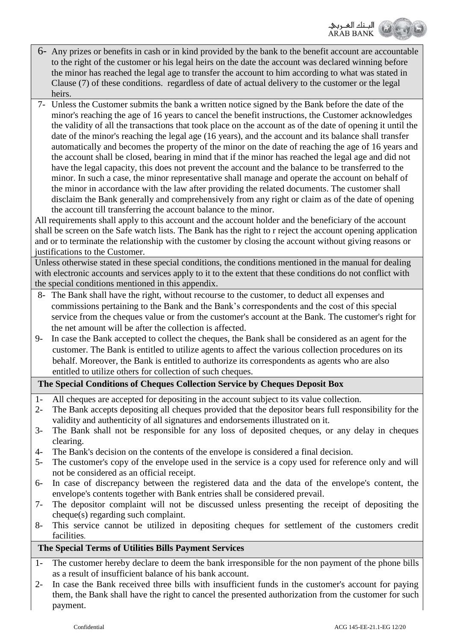

- 6- Any prizes or benefits in cash or in kind provided by the bank to the benefit account are accountable to the right of the customer or his legal heirs on the date the account was declared winning before the minor has reached the legal age to transfer the account to him according to what was stated in Clause (7) of these conditions. regardless of date of actual delivery to the customer or the legal heirs.
- 7- Unless the Customer submits the bank a written notice signed by the Bank before the date of the minor's reaching the age of 16 years to cancel the benefit instructions, the Customer acknowledges the validity of all the transactions that took place on the account as of the date of opening it until the date of the minor's reaching the legal age (16 years), and the account and its balance shall transfer automatically and becomes the property of the minor on the date of reaching the age of 16 years and the account shall be closed, bearing in mind that if the minor has reached the legal age and did not have the legal capacity, this does not prevent the account and the balance to be transferred to the minor. In such a case, the minor representative shall manage and operate the account on behalf of the minor in accordance with the law after providing the related documents. The customer shall disclaim the Bank generally and comprehensively from any right or claim as of the date of opening the account till transferring the account balance to the minor.

All requirements shall apply to this account and the account holder and the beneficiary of the account shall be screen on the Safe watch lists. The Bank has the right to r reject the account opening application and or to terminate the relationship with the customer by closing the account without giving reasons or justifications to the Customer.

Unless otherwise stated in these special conditions, the conditions mentioned in the manual for dealing with electronic accounts and services apply to it to the extent that these conditions do not conflict with the special conditions mentioned in this appendix.

- 8- The Bank shall have the right, without recourse to the customer, to deduct all expenses and commissions pertaining to the Bank and the Bank's correspondents and the cost of this special service from the cheques value or from the customer's account at the Bank. The customer's right for the net amount will be after the collection is affected.
- 9- In case the Bank accepted to collect the cheques, the Bank shall be considered as an agent for the customer. The Bank is entitled to utilize agents to affect the various collection procedures on its behalf. Moreover, the Bank is entitled to authorize its correspondents as agents who are also entitled to utilize others for collection of such cheques.

## **The Special Conditions of Cheques Collection Service by Cheques Deposit Box**

- 1- All cheques are accepted for depositing in the account subject to its value collection.
- 2- The Bank accepts depositing all cheques provided that the depositor bears full responsibility for the validity and authenticity of all signatures and endorsements illustrated on it.
- 3- The Bank shall not be responsible for any loss of deposited cheques, or any delay in cheques clearing.
- 4- The Bank's decision on the contents of the envelope is considered a final decision.
- 5- The customer's copy of the envelope used in the service is a copy used for reference only and will not be considered as an official receipt.
- 6- In case of discrepancy between the registered data and the data of the envelope's content, the envelope's contents together with Bank entries shall be considered prevail.
- 7- The depositor complaint will not be discussed unless presenting the receipt of depositing the cheque(s) regarding such complaint.
- 8- This service cannot be utilized in depositing cheques for settlement of the customers credit facilities.

## **The Special Terms of Utilities Bills Payment Services**

- 1- The customer hereby declare to deem the bank irresponsible for the non payment of the phone bills as a result of insufficient balance of his bank account.
- 2- In case the Bank received three bills with insufficient funds in the customer's account for paying them, the Bank shall have the right to cancel the presented authorization from the customer for such payment.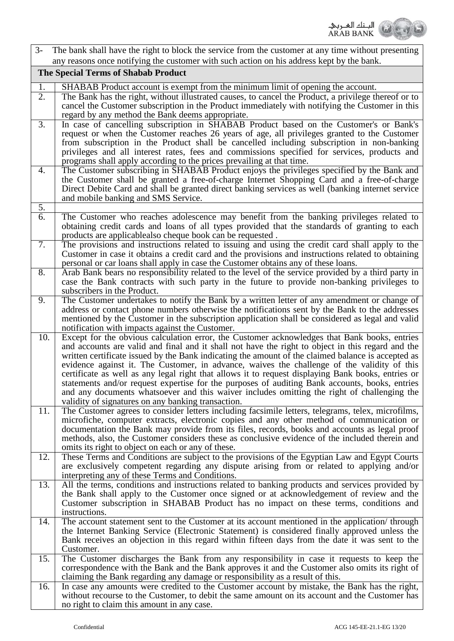

| $3-$                   | The bank shall have the right to block the service from the customer at any time without presenting                                                                                                                                                                                                                                                                                                                                                                                                                                                                                                                                                                                                                                                                 |  |  |
|------------------------|---------------------------------------------------------------------------------------------------------------------------------------------------------------------------------------------------------------------------------------------------------------------------------------------------------------------------------------------------------------------------------------------------------------------------------------------------------------------------------------------------------------------------------------------------------------------------------------------------------------------------------------------------------------------------------------------------------------------------------------------------------------------|--|--|
|                        | any reasons once notifying the customer with such action on his address kept by the bank.                                                                                                                                                                                                                                                                                                                                                                                                                                                                                                                                                                                                                                                                           |  |  |
|                        | The Special Terms of Shabab Product                                                                                                                                                                                                                                                                                                                                                                                                                                                                                                                                                                                                                                                                                                                                 |  |  |
| 1.<br>$\overline{2}$ . | SHABAB Product account is exempt from the minimum limit of opening the account.<br>The Bank has the right, without illustrated causes, to cancel the Product, a privilege thereof or to<br>cancel the Customer subscription in the Product immediately with notifying the Customer in this<br>regard by any method the Bank deems appropriate.                                                                                                                                                                                                                                                                                                                                                                                                                      |  |  |
| 3.                     | In case of cancelling subscription in SHABAB Product based on the Customer's or Bank's<br>request or when the Customer reaches 26 years of age, all privileges granted to the Customer<br>from subscription in the Product shall be cancelled including subscription in non-banking<br>privileges and all interest rates, fees and commissions specified for services, products and<br>programs shall apply according to the prices prevailing at that time.                                                                                                                                                                                                                                                                                                        |  |  |
| 4.                     | The Customer subscribing in SHABAB Product enjoys the privileges specified by the Bank and<br>the Customer shall be granted a free-of-charge Internet Shopping Card and a free-of-charge<br>Direct Debite Card and shall be granted direct banking services as well (banking internet service<br>and mobile banking and SMS Service.                                                                                                                                                                                                                                                                                                                                                                                                                                |  |  |
| 5.                     |                                                                                                                                                                                                                                                                                                                                                                                                                                                                                                                                                                                                                                                                                                                                                                     |  |  |
| 6.                     | The Customer who reaches adolescence may benefit from the banking privileges related to<br>obtaining credit cards and loans of all types provided that the standards of granting to each<br>products are applicablealso cheque book can be requested.                                                                                                                                                                                                                                                                                                                                                                                                                                                                                                               |  |  |
| $\overline{7}$ .       | The provisions and instructions related to issuing and using the credit card shall apply to the<br>Customer in case it obtains a credit card and the provisions and instructions related to obtaining<br>personal or car loans shall apply in case the Customer obtains any of these loans.                                                                                                                                                                                                                                                                                                                                                                                                                                                                         |  |  |
| 8.                     | Arab Bank bears no responsibility related to the level of the service provided by a third party in<br>case the Bank contracts with such party in the future to provide non-banking privileges to<br>subscribers in the Product.                                                                                                                                                                                                                                                                                                                                                                                                                                                                                                                                     |  |  |
| 9.                     | The Customer undertakes to notify the Bank by a written letter of any amendment or change of<br>address or contact phone numbers otherwise the notifications sent by the Bank to the addresses<br>mentioned by the Customer in the subscription application shall be considered as legal and valid<br>notification with impacts against the Customer.                                                                                                                                                                                                                                                                                                                                                                                                               |  |  |
| 10.                    | Except for the obvious calculation error, the Customer acknowledges that Bank books, entries<br>and accounts are valid and final and it shall not have the right to object in this regard and the<br>written certificate issued by the Bank indicating the amount of the claimed balance is accepted as<br>evidence against it. The Customer, in advance, waives the challenge of the validity of this<br>certificate as well as any legal right that allows it to request displaying Bank books, entries or<br>statements and/or request expertise for the purposes of auditing Bank accounts, books, entries<br>and any documents whatsoever and this waiver includes omitting the right of challenging the<br>validity of signatures on any banking transaction. |  |  |
| 11.                    | The Customer agrees to consider letters including facsimile letters, telegrams, telex, microfilms,<br>microfiche, computer extracts, electronic copies and any other method of communication or<br>documentation the Bank may provide from its files, records, books and accounts as legal proof<br>methods, also, the Customer considers these as conclusive evidence of the included therein and<br>omits its right to object on each or any of these.                                                                                                                                                                                                                                                                                                            |  |  |
| 12.                    | These Terms and Conditions are subject to the provisions of the Egyptian Law and Egypt Courts<br>are exclusively competent regarding any dispute arising from or related to applying and/or<br>interpreting any of these Terms and Conditions.                                                                                                                                                                                                                                                                                                                                                                                                                                                                                                                      |  |  |
| 13.                    | All the terms, conditions and instructions related to banking products and services provided by<br>the Bank shall apply to the Customer once signed or at acknowledgement of review and the<br>Customer subscription in SHABAB Product has no impact on these terms, conditions and<br>instructions.                                                                                                                                                                                                                                                                                                                                                                                                                                                                |  |  |
| 14.                    | The account statement sent to the Customer at its account mentioned in the application/through<br>the Internet Banking Service (Electronic Statement) is considered finally approved unless the<br>Bank receives an objection in this regard within fifteen days from the date it was sent to the<br>Customer.                                                                                                                                                                                                                                                                                                                                                                                                                                                      |  |  |
| 15.                    | The Customer discharges the Bank from any responsibility in case it requests to keep the<br>correspondence with the Bank and the Bank approves it and the Customer also omits its right of<br>claiming the Bank regarding any damage or responsibility as a result of this.                                                                                                                                                                                                                                                                                                                                                                                                                                                                                         |  |  |
| 16.                    | In case any amounts were credited to the Customer account by mistake, the Bank has the right,<br>without recourse to the Customer, to debit the same amount on its account and the Customer has<br>no right to claim this amount in any case.                                                                                                                                                                                                                                                                                                                                                                                                                                                                                                                       |  |  |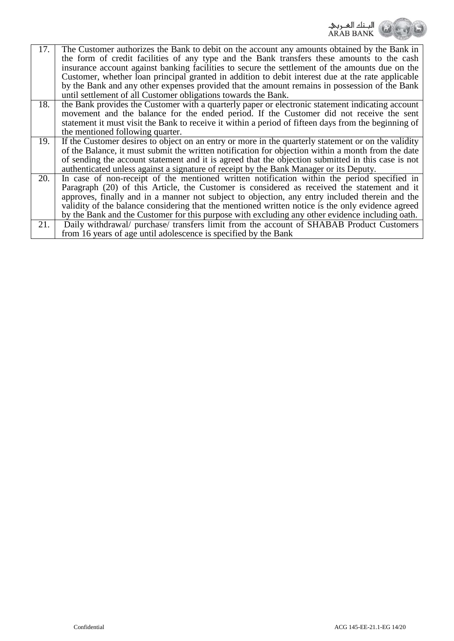|     | البــنك الھــربيـ<br>ARAB BANK                                                                                                                                                             |
|-----|--------------------------------------------------------------------------------------------------------------------------------------------------------------------------------------------|
| 17. | The Customer authorizes the Bank to debit on the account any amounts obtained by the Bank in<br>the form of credit facilities of any type and the Bank transfers these amounts to the cash |
|     | insurance account against banking facilities to secure the settlement of the amounts due on the                                                                                            |
|     | Customer, whether loan principal granted in addition to debit interest due at the rate applicable                                                                                          |
|     | by the Bank and any other expenses provided that the amount remains in possession of the Bank                                                                                              |
|     | until settlement of all Customer obligations towards the Bank.                                                                                                                             |
| 18. | the Bank provides the Customer with a quarterly paper or electronic statement indicating account                                                                                           |
|     | movement and the balance for the ended period. If the Customer did not receive the sent                                                                                                    |
|     | statement it must visit the Bank to receive it within a period of fifteen days from the beginning of                                                                                       |
|     | the mentioned following quarter.                                                                                                                                                           |
| 19. | If the Customer desires to object on an entry or more in the quarterly statement or on the validity                                                                                        |
|     | of the Balance, it must submit the written notification for objection within a month from the date                                                                                         |
|     | of sending the account statement and it is agreed that the objection submitted in this case is not                                                                                         |
|     | authenticated unless against a signature of receipt by the Bank Manager or its Deputy.                                                                                                     |
| 20. | In case of non-receipt of the mentioned written notification within the period specified in                                                                                                |
|     | Paragraph (20) of this Article, the Customer is considered as received the statement and it                                                                                                |
|     | approves, finally and in a manner not subject to objection, any entry included therein and the                                                                                             |
|     | validity of the balance considering that the mentioned written notice is the only evidence agreed                                                                                          |
|     | by the Bank and the Customer for this purpose with excluding any other evidence including oath.                                                                                            |
| 21. | Daily withdrawal/ purchase/ transfers limit from the account of SHABAB Product Customers                                                                                                   |
|     | from 16 years of age until adolescence is specified by the Bank                                                                                                                            |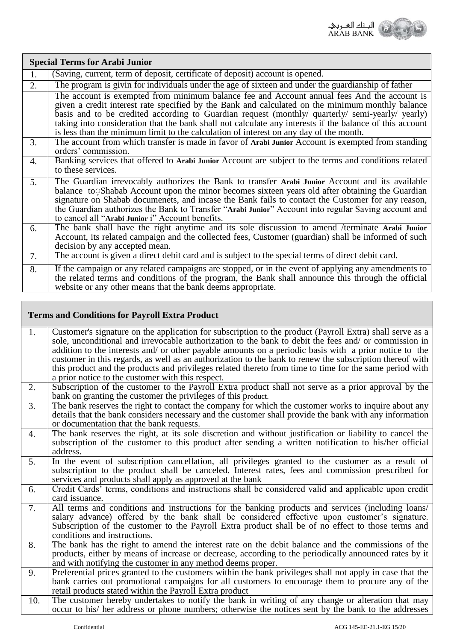

|    | <b>Special Terms for Arabi Junior</b>                                                                                                                                                                                                                                                                                                                                                                                                                                                                     |  |  |
|----|-----------------------------------------------------------------------------------------------------------------------------------------------------------------------------------------------------------------------------------------------------------------------------------------------------------------------------------------------------------------------------------------------------------------------------------------------------------------------------------------------------------|--|--|
| 1. | (Saving, current, term of deposit, certificate of deposit) account is opened.                                                                                                                                                                                                                                                                                                                                                                                                                             |  |  |
| 2. | The program is givin for individuals under the age of sixteen and under the guardianship of father                                                                                                                                                                                                                                                                                                                                                                                                        |  |  |
|    | The account is exempted from minimum balance fee and Account annual fees And the account is<br>given a credit interest rate specified by the Bank and calculated on the minimum monthly balance<br>basis and to be credited according to Guardian request (monthly/ quarterly/ semi-yearly/ yearly)<br>taking into consideration that the bank shall not calculate any interests if the balance of this account<br>is less than the minimum limit to the calculation of interest on any day of the month. |  |  |
| 3. | The account from which transfer is made in favor of Arabi Junior Account is exempted from standing<br>orders' commission.                                                                                                                                                                                                                                                                                                                                                                                 |  |  |
| 4. | Banking services that offered to Arabi Junior Account are subject to the terms and conditions related<br>to these services.                                                                                                                                                                                                                                                                                                                                                                               |  |  |
| 5. | The Guardian irrevocably authorizes the Bank to transfer Arabi Junior Account and its available<br>balance to Shabab Account upon the minor becomes sixteen years old after obtaining the Guardian<br>signature on Shabab documenets, and incase the Bank fails to contact the Customer for any reason,<br>the Guardian authorizes the Bank to Transfer "Arabi Junior" Account into regular Saving account and<br>to cancel all "Arabi Junior i" Account benefits.                                        |  |  |
| 6. | The bank shall have the right anytime and its sole discussion to amend /terminate Arabi Junior<br>Account, its related campaign and the collected fees, Customer (guardian) shall be informed of such<br>decision by any accepted mean.                                                                                                                                                                                                                                                                   |  |  |
| 7. | The account is given a direct debit card and is subject to the special terms of direct debit card.                                                                                                                                                                                                                                                                                                                                                                                                        |  |  |
| 8. | If the campaign or any related campaigns are stopped, or in the event of applying any amendments to<br>the related terms and conditions of the program, the Bank shall announce this through the official<br>website or any other means that the bank deems appropriate.                                                                                                                                                                                                                                  |  |  |

## **Terms and Conditions for Payroll Extra Product**

| 1.             | Customer's signature on the application for subscription to the product (Payroll Extra) shall serve as a |  |  |
|----------------|----------------------------------------------------------------------------------------------------------|--|--|
|                | sole, unconditional and irrevocable authorization to the bank to debit the fees and/ or commission in    |  |  |
|                | addition to the interests and/ or other payable amounts on a periodic basis with a prior notice to the   |  |  |
|                | customer in this regards, as well as an authorization to the bank to renew the subscription thereof with |  |  |
|                | this product and the products and privileges related thereto from time to time for the same period with  |  |  |
|                | a prior notice to the customer with this respect.                                                        |  |  |
| 2.             | Subscription of the customer to the Payroll Extra product shall not serve as a prior approval by the     |  |  |
|                | bank on granting the customer the privileges of this product.                                            |  |  |
| 3.             | The bank reserves the right to contact the company for which the customer works to inquire about any     |  |  |
|                | details that the bank considers necessary and the customer shall provide the bank with any information   |  |  |
|                | or documentation that the bank requests.                                                                 |  |  |
| 4.             | The bank reserves the right, at its sole discretion and without justification or liability to cancel the |  |  |
|                | subscription of the customer to this product after sending a written notification to his/her official    |  |  |
|                | address.                                                                                                 |  |  |
| 5.             | In the event of subscription cancellation, all privileges granted to the customer as a result of         |  |  |
|                | subscription to the product shall be canceled. Interest rates, fees and commission prescribed for        |  |  |
|                | services and products shall apply as approved at the bank                                                |  |  |
| 6.             | Credit Cards' terms, conditions and instructions shall be considered valid and applicable upon credit    |  |  |
| card issuance. |                                                                                                          |  |  |
| 7.             | All terms and conditions and instructions for the banking products and services (including loans/        |  |  |
|                | salary advance) offered by the bank shall be considered effective upon customer's signature.             |  |  |
|                | Subscription of the customer to the Payroll Extra product shall be of no effect to those terms and       |  |  |
|                | conditions and instructions.                                                                             |  |  |
| 8.             | The bank has the right to amend the interest rate on the debit balance and the commissions of the        |  |  |
|                | products, either by means of increase or decrease, according to the periodically announced rates by it   |  |  |
|                | and with notifying the customer in any method deems proper.                                              |  |  |
| 9.             | Preferential prices granted to the customers within the bank privileges shall not apply in case that the |  |  |
|                | bank carries out promotional campaigns for all customers to encourage them to procure any of the         |  |  |
|                | retail products stated within the Payroll Extra product                                                  |  |  |
| 10.            | The customer hereby undertakes to notify the bank in writing of any change or alteration that may        |  |  |
|                | occur to his/ her address or phone numbers; otherwise the notices sent by the bank to the addresses      |  |  |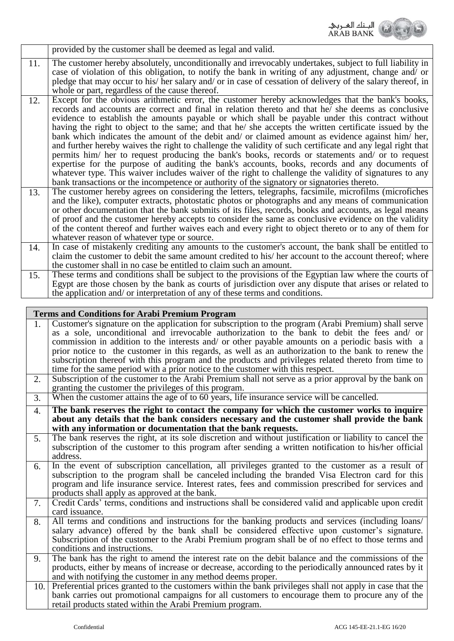

|     | provided by the customer shall be deemed as legal and valid.                                                                                                                                                                                                                                                                                                                                                                                                                                                                                                                                                                                                                                                                                                                                                                                                                                                                                                                                                                                           |
|-----|--------------------------------------------------------------------------------------------------------------------------------------------------------------------------------------------------------------------------------------------------------------------------------------------------------------------------------------------------------------------------------------------------------------------------------------------------------------------------------------------------------------------------------------------------------------------------------------------------------------------------------------------------------------------------------------------------------------------------------------------------------------------------------------------------------------------------------------------------------------------------------------------------------------------------------------------------------------------------------------------------------------------------------------------------------|
| 11. | The customer hereby absolutely, unconditionally and irrevocably undertakes, subject to full liability in<br>case of violation of this obligation, to notify the bank in writing of any adjustment, change and/ or<br>pledge that may occur to his/ her salary and/ or in case of cessation of delivery of the salary thereof, in<br>whole or part, regardless of the cause thereof.                                                                                                                                                                                                                                                                                                                                                                                                                                                                                                                                                                                                                                                                    |
| 12. | Except for the obvious arithmetic error, the customer hereby acknowledges that the bank's books,<br>records and accounts are correct and final in relation thereto and that he/ she deems as conclusive<br>evidence to establish the amounts payable or which shall be payable under this contract without<br>having the right to object to the same; and that he/ she accepts the written certificate issued by the<br>bank which indicates the amount of the debit and/ or claimed amount as evidence against him/ her,<br>and further hereby waives the right to challenge the validity of such certificate and any legal right that<br>permits him/ her to request producing the bank's books, records or statements and/ or to request<br>expertise for the purpose of auditing the bank's accounts, books, records and any documents of<br>whatever type. This waiver includes waiver of the right to challenge the validity of signatures to any<br>bank transactions or the incompetence or authority of the signatory or signatories thereto. |
| 13. | The customer hereby agrees on considering the letters, telegraphs, facsimile, microfilms (microfiches<br>and the like), computer extracts, photostatic photos or photographs and any means of communication<br>or other documentation that the bank submits of its files, records, books and accounts, as legal means<br>of proof and the customer hereby accepts to consider the same as conclusive evidence on the validity<br>of the content thereof and further waives each and every right to object thereto or to any of them for<br>whatever reason of whatever type or source.                                                                                                                                                                                                                                                                                                                                                                                                                                                                 |
| 14. | In case of mistakenly crediting any amounts to the customer's account, the bank shall be entitled to<br>claim the customer to debit the same amount credited to his/ her account to the account thereof; where<br>the customer shall in no case be entitled to claim such an amount.                                                                                                                                                                                                                                                                                                                                                                                                                                                                                                                                                                                                                                                                                                                                                                   |
| 15. | These terms and conditions shall be subject to the provisions of the Egyptian law where the courts of<br>Egypt are those chosen by the bank as courts of jurisdiction over any dispute that arises or related to<br>the application and/ or interpretation of any of these terms and conditions.                                                                                                                                                                                                                                                                                                                                                                                                                                                                                                                                                                                                                                                                                                                                                       |

|     | <b>Terms and Conditions for Arabi Premium Program</b>                                                                                                                                                  |
|-----|--------------------------------------------------------------------------------------------------------------------------------------------------------------------------------------------------------|
| 1.  | Customer's signature on the application for subscription to the program (Arabi Premium) shall serve                                                                                                    |
|     | as a sole, unconditional and irrevocable authorization to the bank to debit the fees and/ or                                                                                                           |
|     | commission in addition to the interests and/ or other payable amounts on a periodic basis with a                                                                                                       |
|     | prior notice to the customer in this regards, as well as an authorization to the bank to renew the                                                                                                     |
|     | subscription thereof with this program and the products and privileges related thereto from time to                                                                                                    |
|     | time for the same period with a prior notice to the customer with this respect.                                                                                                                        |
| 2.  | Subscription of the customer to the Arabi Premium shall not serve as a prior approval by the bank on                                                                                                   |
|     | granting the customer the privileges of this program.                                                                                                                                                  |
| 3.  | When the customer attains the age of to 60 years, life insurance service will be cancelled.                                                                                                            |
| 4.  | The bank reserves the right to contact the company for which the customer works to inquire                                                                                                             |
|     | about any details that the bank considers necessary and the customer shall provide the bank                                                                                                            |
|     | with any information or documentation that the bank requests.                                                                                                                                          |
| 5.  | The bank reserves the right, at its sole discretion and without justification or liability to cancel the                                                                                               |
|     | subscription of the customer to this program after sending a written notification to his/her official                                                                                                  |
|     | address.                                                                                                                                                                                               |
| 6.  | In the event of subscription cancellation, all privileges granted to the customer as a result of                                                                                                       |
|     | subscription to the program shall be canceled including the branded Visa Electron card for this<br>program and life insurance service. Interest rates, fees and commission prescribed for services and |
|     | products shall apply as approved at the bank.                                                                                                                                                          |
| 7.  | Credit Cards' terms, conditions and instructions shall be considered valid and applicable upon credit                                                                                                  |
|     | card issuance.                                                                                                                                                                                         |
| 8.  | All terms and conditions and instructions for the banking products and services (including loans/                                                                                                      |
|     | salary advance) offered by the bank shall be considered effective upon customer's signature.                                                                                                           |
|     | Subscription of the customer to the Arabi Premium program shall be of no effect to those terms and                                                                                                     |
|     | conditions and instructions.                                                                                                                                                                           |
| 9.  | The bank has the right to amend the interest rate on the debit balance and the commissions of the                                                                                                      |
|     | products, either by means of increase or decrease, according to the periodically announced rates by it                                                                                                 |
|     | and with notifying the customer in any method deems proper.                                                                                                                                            |
| 10. | Preferential prices granted to the customers within the bank privileges shall not apply in case that the                                                                                               |
|     | bank carries out promotional campaigns for all customers to encourage them to procure any of the                                                                                                       |
|     | retail products stated within the Arabi Premium program.                                                                                                                                               |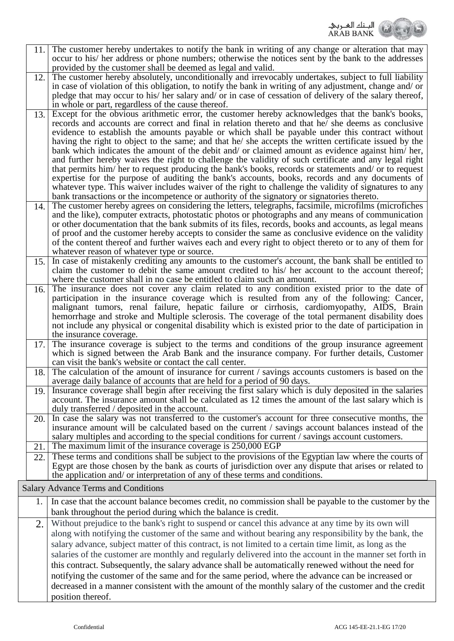

occur to his/ her address or phone numbers; otherwise the notices sent by the bank to the addresses provided by the customer shall be deemed as legal and valid. The customer hereby absolutely, unconditionally and irrevocably undertakes, subject to full liability in case of violation of this obligation, to notify the bank in writing of any adjustment, change and/ or pledge that may occur to his/ her salary and/ or in case of cessation of delivery of the salary thereof, in whole or part, regardless of the cause thereof. 12. Except for the obvious arithmetic error, the customer hereby acknowledges that the bank's books, records and accounts are correct and final in relation thereto and that he/ she deems as conclusive evidence to establish the amounts payable or which shall be payable under this contract without having the right to object to the same; and that he/ she accepts the written certificate issued by the bank which indicates the amount of the debit and/ or claimed amount as evidence against him/ her, and further hereby waives the right to challenge the validity of such certificate and any legal right that permits him/ her to request producing the bank's books, records or statements and/ or to request expertise for the purpose of auditing the bank's accounts, books, records and any documents of whatever type. This waiver includes waiver of the right to challenge the validity of signatures to any bank transactions or the incompetence or authority of the signatory or signatories thereto. 13. The customer hereby agrees on considering the letters, telegraphs, facsimile, microfilms (microfiches and the like), computer extracts, photostatic photos or photographs and any means of communication or other documentation that the bank submits of its files, records, books and accounts, as legal means of proof and the customer hereby accepts to consider the same as conclusive evidence on the validity of the content thereof and further waives each and every right to object thereto or to any of them for whatever reason of whatever type or source. 14. In case of mistakenly crediting any amounts to the customer's account, the bank shall be entitled to claim the customer to debit the same amount credited to his/ her account to the account thereof; where the customer shall in no case be entitled to claim such an amount.  $15.1$ The insurance does not cover any claim related to any condition existed prior to the date of participation in the insurance coverage which is resulted from any of the following: Cancer, malignant tumors, renal failure, hepatic failure or cirrhosis, cardiomyopathy, AIDS, Brain hemorrhage and stroke and Multiple sclerosis. The coverage of the total permanent disability does not include any physical or congenital disability which is existed prior to the date of participation in the insurance coverage. 16. The insurance coverage is subject to the terms and conditions of the group insurance agreement which is signed between the Arab Bank and the insurance company. For further details, Customer can visit the bank's website or contact the call center. 17. The calculation of the amount of insurance for current / savings accounts customers is based on the average daily balance of accounts that are held for a period of 90 days. 18. Insurance coverage shall begin after receiving the first salary which is duly deposited in the salaries account. The insurance amount shall be calculated as 12 times the amount of the last salary which is duly transferred / deposited in the account. 19. In case the salary was not transferred to the customer's account for three consecutive months, the insurance amount will be calculated based on the current / savings account balances instead of the salary multiples and according to the special conditions for current / savings account customers. 20. 21. The maximum limit of the insurance coverage is 250,000 EGP These terms and conditions shall be subject to the provisions of the Egyptian law where the courts of Egypt are those chosen by the bank as courts of jurisdiction over any dispute that arises or related to the application and/ or interpretation of any of these terms and conditions. 22. Salary Advance Terms and Conditions 1. In case that the account balance becomes credit, no commission shall be payable to the customer by the bank throughout the period during which the balance is credit. 2. Without prejudice to the bank's right to suspend or cancel this advance at any time by its own will along with notifying the customer of the same and without bearing any responsibility by the bank, the salary advance, subject matter of this contract, is not limited to a certain time limit, as long as the salaries of the customer are monthly and regularly delivered into the account in the manner set forth in this contract. Subsequently, the salary advance shall be automatically renewed without the need for notifying the customer of the same and for the same period, where the advance can be increased or decreased in a manner consistent with the amount of the monthly salary of the customer and the credit position thereof.

The customer hereby undertakes to notify the bank in writing of any change or alteration that may

11.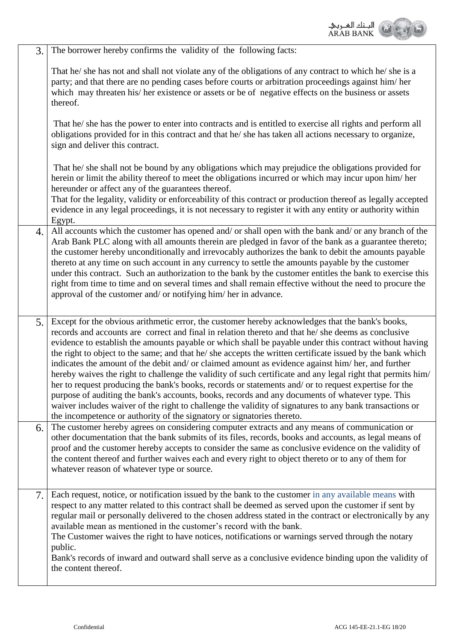

| 3.               | The borrower hereby confirms the validity of the following facts:                                                                                                                                                                                                                                                                                                                                                                                                                                                                                                                                                                                                                                                                                                                                                                                                                                                                                                                                                                                    |
|------------------|------------------------------------------------------------------------------------------------------------------------------------------------------------------------------------------------------------------------------------------------------------------------------------------------------------------------------------------------------------------------------------------------------------------------------------------------------------------------------------------------------------------------------------------------------------------------------------------------------------------------------------------------------------------------------------------------------------------------------------------------------------------------------------------------------------------------------------------------------------------------------------------------------------------------------------------------------------------------------------------------------------------------------------------------------|
|                  | That he/ she has not and shall not violate any of the obligations of any contract to which he/ she is a<br>party; and that there are no pending cases before courts or arbitration proceedings against him/her<br>which may threaten his/ her existence or assets or be of negative effects on the business or assets<br>thereof.                                                                                                                                                                                                                                                                                                                                                                                                                                                                                                                                                                                                                                                                                                                    |
|                  | That he/ she has the power to enter into contracts and is entitled to exercise all rights and perform all<br>obligations provided for in this contract and that he/she has taken all actions necessary to organize,<br>sign and deliver this contract.                                                                                                                                                                                                                                                                                                                                                                                                                                                                                                                                                                                                                                                                                                                                                                                               |
|                  | That he/ she shall not be bound by any obligations which may prejudice the obligations provided for<br>herein or limit the ability thereof to meet the obligations incurred or which may incur upon him/her<br>hereunder or affect any of the guarantees thereof.<br>That for the legality, validity or enforceability of this contract or production thereof as legally accepted<br>evidence in any legal proceedings, it is not necessary to register it with any entity or authority within<br>Egypt.                                                                                                                                                                                                                                                                                                                                                                                                                                                                                                                                             |
| $\overline{4}$ . | All accounts which the customer has opened and/ or shall open with the bank and/ or any branch of the<br>Arab Bank PLC along with all amounts therein are pledged in favor of the bank as a guarantee thereto;<br>the customer hereby unconditionally and irrevocably authorizes the bank to debit the amounts payable<br>thereto at any time on such account in any currency to settle the amounts payable by the customer<br>under this contract. Such an authorization to the bank by the customer entitles the bank to exercise this<br>right from time to time and on several times and shall remain effective without the need to procure the<br>approval of the customer and/ or notifying him/ her in advance.                                                                                                                                                                                                                                                                                                                               |
| 5.               | Except for the obvious arithmetic error, the customer hereby acknowledges that the bank's books,<br>records and accounts are correct and final in relation thereto and that he/she deems as conclusive<br>evidence to establish the amounts payable or which shall be payable under this contract without having<br>the right to object to the same; and that he/she accepts the written certificate issued by the bank which<br>indicates the amount of the debit and/ or claimed amount as evidence against him/ her, and further<br>hereby waives the right to challenge the validity of such certificate and any legal right that permits him/<br>her to request producing the bank's books, records or statements and/ or to request expertise for the<br>purpose of auditing the bank's accounts, books, records and any documents of whatever type. This<br>waiver includes waiver of the right to challenge the validity of signatures to any bank transactions or<br>the incompetence or authority of the signatory or signatories thereto. |
| 6.               | The customer hereby agrees on considering computer extracts and any means of communication or<br>other documentation that the bank submits of its files, records, books and accounts, as legal means of<br>proof and the customer hereby accepts to consider the same as conclusive evidence on the validity of<br>the content thereof and further waives each and every right to object thereto or to any of them for<br>whatever reason of whatever type or source.                                                                                                                                                                                                                                                                                                                                                                                                                                                                                                                                                                                |
| 7.               | Each request, notice, or notification issued by the bank to the customer in any available means with<br>respect to any matter related to this contract shall be deemed as served upon the customer if sent by<br>regular mail or personally delivered to the chosen address stated in the contract or electronically by any<br>available mean as mentioned in the customer's record with the bank.<br>The Customer waives the right to have notices, notifications or warnings served through the notary<br>public.<br>Bank's records of inward and outward shall serve as a conclusive evidence binding upon the validity of<br>the content thereof.                                                                                                                                                                                                                                                                                                                                                                                                |
|                  |                                                                                                                                                                                                                                                                                                                                                                                                                                                                                                                                                                                                                                                                                                                                                                                                                                                                                                                                                                                                                                                      |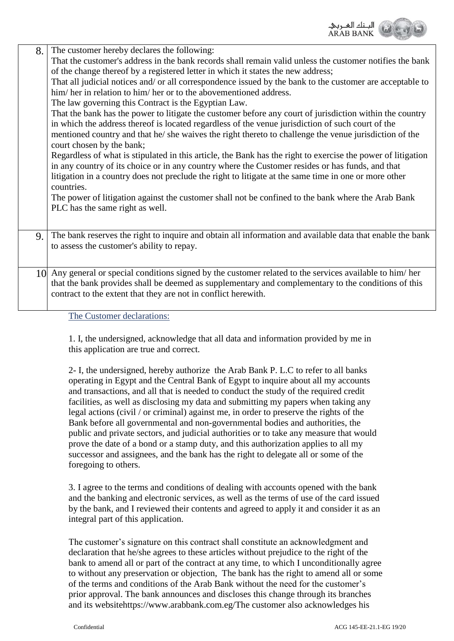

| 8. | The customer hereby declares the following:<br>That the customer's address in the bank records shall remain valid unless the customer notifies the bank<br>of the change thereof by a registered letter in which it states the new address;<br>That all judicial notices and/ or all correspondence issued by the bank to the customer are acceptable to<br>him/her in relation to him/her or to the abovementioned address.<br>The law governing this Contract is the Egyptian Law.<br>That the bank has the power to litigate the customer before any court of jurisdiction within the country<br>in which the address thereof is located regardless of the venue jurisdiction of such court of the<br>mentioned country and that he/ she waives the right thereto to challenge the venue jurisdiction of the<br>court chosen by the bank;<br>Regardless of what is stipulated in this article, the Bank has the right to exercise the power of litigation<br>in any country of its choice or in any country where the Customer resides or has funds, and that<br>litigation in a country does not preclude the right to litigate at the same time in one or more other<br>countries.<br>The power of litigation against the customer shall not be confined to the bank where the Arab Bank<br>PLC has the same right as well. |
|----|----------------------------------------------------------------------------------------------------------------------------------------------------------------------------------------------------------------------------------------------------------------------------------------------------------------------------------------------------------------------------------------------------------------------------------------------------------------------------------------------------------------------------------------------------------------------------------------------------------------------------------------------------------------------------------------------------------------------------------------------------------------------------------------------------------------------------------------------------------------------------------------------------------------------------------------------------------------------------------------------------------------------------------------------------------------------------------------------------------------------------------------------------------------------------------------------------------------------------------------------------------------------------------------------------------------------------------|
| 9. | The bank reserves the right to inquire and obtain all information and available data that enable the bank                                                                                                                                                                                                                                                                                                                                                                                                                                                                                                                                                                                                                                                                                                                                                                                                                                                                                                                                                                                                                                                                                                                                                                                                                        |
|    | to assess the customer's ability to repay.                                                                                                                                                                                                                                                                                                                                                                                                                                                                                                                                                                                                                                                                                                                                                                                                                                                                                                                                                                                                                                                                                                                                                                                                                                                                                       |
|    | 10 Any general or special conditions signed by the customer related to the services available to him/her<br>that the bank provides shall be deemed as supplementary and complementary to the conditions of this<br>contract to the extent that they are not in conflict herewith.                                                                                                                                                                                                                                                                                                                                                                                                                                                                                                                                                                                                                                                                                                                                                                                                                                                                                                                                                                                                                                                |

The Customer declarations:

1. I, the undersigned, acknowledge that all data and information provided by me in this application are true and correct.

2- I, the undersigned, hereby authorize the Arab Bank P. L.C to refer to all banks operating in Egypt and the Central Bank of Egypt to inquire about all my accounts and transactions, and all that is needed to conduct the study of the required credit facilities, as well as disclosing my data and submitting my papers when taking any legal actions (civil / or criminal) against me, in order to preserve the rights of the Bank before all governmental and non-governmental bodies and authorities, the public and private sectors, and judicial authorities or to take any measure that would prove the date of a bond or a stamp duty, and this authorization applies to all my successor and assignees, and the bank has the right to delegate all or some of the foregoing to others.

3. I agree to the terms and conditions of dealing with accounts opened with the bank and the banking and electronic services, as well as the terms of use of the card issued by the bank, and I reviewed their contents and agreed to apply it and consider it as an integral part of this application.

The customer's signature on this contract shall constitute an acknowledgment and declaration that he/she agrees to these articles without prejudice to the right of the bank to amend all or part of the contract at any time, to which I unconditionally agree to without any preservation or objection, The bank has the right to amend all or some of the terms and conditions of the Arab Bank without the need for the customer's prior approval. The bank announces and discloses this change through its branches and its websit[ehttps://www.arabbank.com.eg/T](https://www.arabbank.com.eg/)he customer also acknowledges his